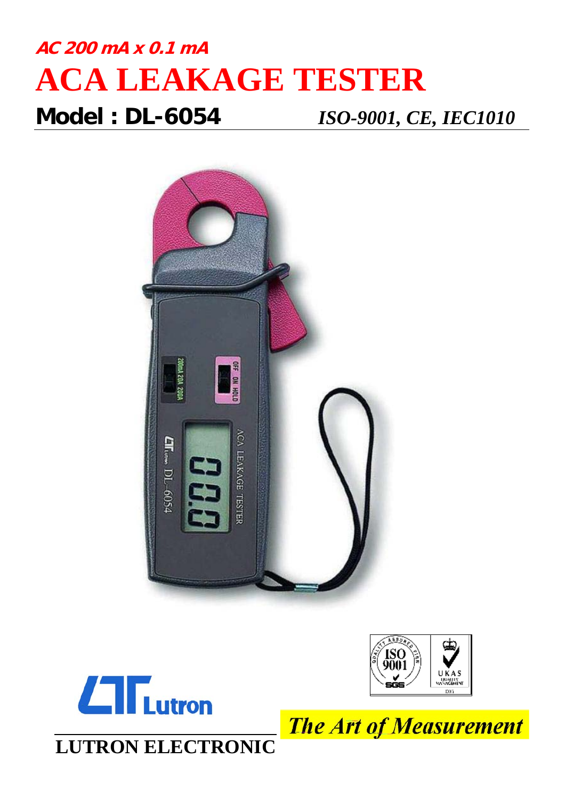## **AC 200 mA x 0.1 mA ACA LEAKAGE TESTER Model : DL-6054** *ISO-9001, CE, IEC1010*







**LUTRON ELECTRONIC**

**The Art of Measurement**